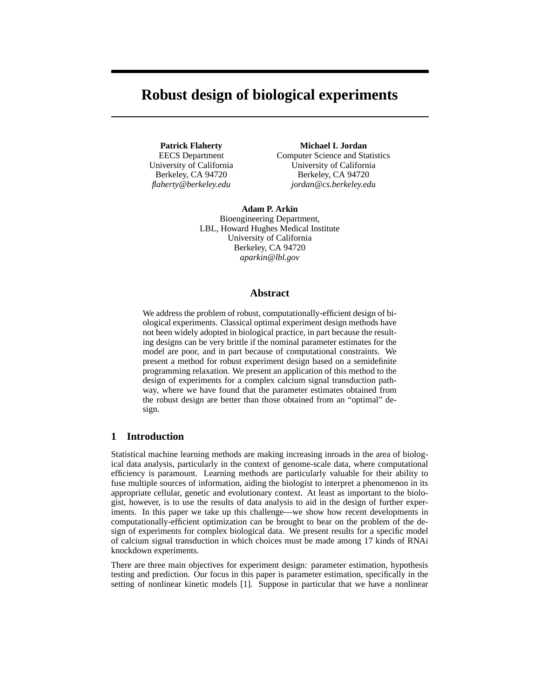# **Robust design of biological experiments**

**Patrick Flaherty** EECS Department University of California Berkeley, CA 94720 *flaherty@berkeley.edu*

**Michael I. Jordan** Computer Science and Statistics University of California Berkeley, CA 94720 *jordan@cs.berkeley.edu*

**Adam P. Arkin** Bioengineering Department, LBL, Howard Hughes Medical Institute University of California Berkeley, CA 94720 *aparkin@lbl.gov*

## **Abstract**

We address the problem of robust, computationally-efficient design of biological experiments. Classical optimal experiment design methods have not been widely adopted in biological practice, in part because the resulting designs can be very brittle if the nominal parameter estimates for the model are poor, and in part because of computational constraints. We present a method for robust experiment design based on a semidefinite programming relaxation. We present an application of this method to the design of experiments for a complex calcium signal transduction pathway, where we have found that the parameter estimates obtained from the robust design are better than those obtained from an "optimal" design.

# **1 Introduction**

Statistical machine learning methods are making increasing inroads in the area of biological data analysis, particularly in the context of genome-scale data, where computational efficiency is paramount. Learning methods are particularly valuable for their ability to fuse multiple sources of information, aiding the biologist to interpret a phenomenon in its appropriate cellular, genetic and evolutionary context. At least as important to the biologist, however, is to use the results of data analysis to aid in the design of further experiments. In this paper we take up this challenge—we show how recent developments in computationally-efficient optimization can be brought to bear on the problem of the design of experiments for complex biological data. We present results for a specific model of calcium signal transduction in which choices must be made among 17 kinds of RNAi knockdown experiments.

There are three main objectives for experiment design: parameter estimation, hypothesis testing and prediction. Our focus in this paper is parameter estimation, specifically in the setting of nonlinear kinetic models [1]. Suppose in particular that we have a nonlinear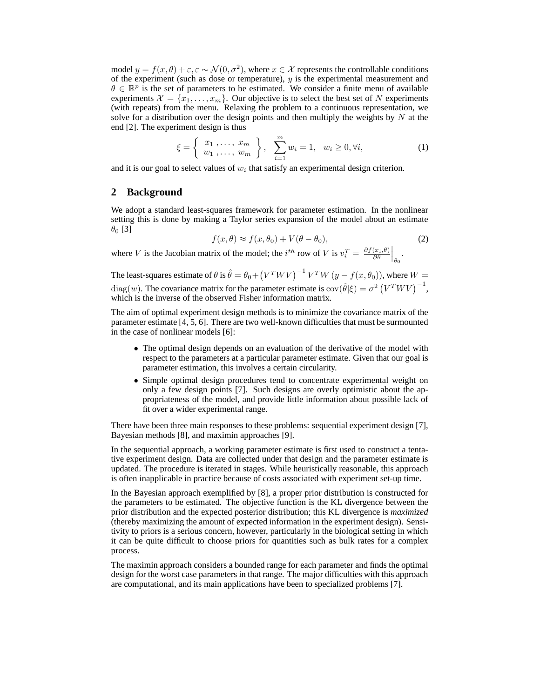model  $y = f(x, \theta) + \varepsilon, \varepsilon \sim \mathcal{N}(0, \sigma^2)$ , where  $x \in \mathcal{X}$  represents the controllable conditions of the experiment (such as dose or temperature),  $y$  is the experimental measurement and  $\theta \in \mathbb{R}^p$  is the set of parameters to be estimated. We consider a finite menu of available experiments  $\mathcal{X} = \{x_1, \ldots, x_m\}$ . Our objective is to select the best set of N experiments (with repeats) from the menu. Relaxing the problem to a continuous representation, we solve for a distribution over the design points and then multiply the weights by  $N$  at the end [2]. The experiment design is thus

$$
\xi = \left\{ \begin{array}{c} x_1, \ldots, x_m \\ w_1, \ldots, w_m \end{array} \right\}, \quad \sum_{i=1}^m w_i = 1, \quad w_i \ge 0, \forall i,
$$
 (1)

and it is our goal to select values of  $w_i$  that satisfy an experimental design criterion.

## **2 Background**

We adopt a standard least-squares framework for parameter estimation. In the nonlinear setting this is done by making a Taylor series expansion of the model about an estimate  $\theta_0$  [3]

$$
f(x,\theta) \approx f(x,\theta_0) + V(\theta - \theta_0),\tag{2}
$$

where V is the Jacobian matrix of the model; the  $i^{th}$  row of V is  $v_i^T = \frac{\partial f(x_i, \theta)}{\partial \theta}$  $\left.\frac{(x_i,\theta)}{\partial\theta}\right|_{\theta_0}.$ 

The least-squares estimate of  $\theta$  is  $\hat{\theta} = \theta_0 + (V^T W V)^{-1} V^T W (y - f(x, \theta_0))$ , where  $W =$ diag(w). The covariance matrix for the parameter estimate is  $cov(\hat{\theta}|\xi) = \sigma^2 (V^T W V)^{-1}$ , which is the inverse of the observed Fisher information matrix.

The aim of optimal experiment design methods is to minimize the covariance matrix of the parameter estimate [4, 5, 6]. There are two well-known difficulties that must be surmounted in the case of nonlinear models [6]:

- The optimal design depends on an evaluation of the derivative of the model with respect to the parameters at a particular parameter estimate. Given that our goal is parameter estimation, this involves a certain circularity.
- Simple optimal design procedures tend to concentrate experimental weight on only a few design points [7]. Such designs are overly optimistic about the appropriateness of the model, and provide little information about possible lack of fit over a wider experimental range.

There have been three main responses to these problems: sequential experiment design [7], Bayesian methods [8], and maximin approaches [9].

In the sequential approach, a working parameter estimate is first used to construct a tentative experiment design. Data are collected under that design and the parameter estimate is updated. The procedure is iterated in stages. While heuristically reasonable, this approach is often inapplicable in practice because of costs associated with experiment set-up time.

In the Bayesian approach exemplified by [8], a proper prior distribution is constructed for the parameters to be estimated. The objective function is the KL divergence between the prior distribution and the expected posterior distribution; this KL divergence is *maximized* (thereby maximizing the amount of expected information in the experiment design). Sensitivity to priors is a serious concern, however, particularly in the biological setting in which it can be quite difficult to choose priors for quantities such as bulk rates for a complex process.

The maximin approach considers a bounded range for each parameter and finds the optimal design for the worst case parameters in that range. The major difficulties with this approach are computational, and its main applications have been to specialized problems [7].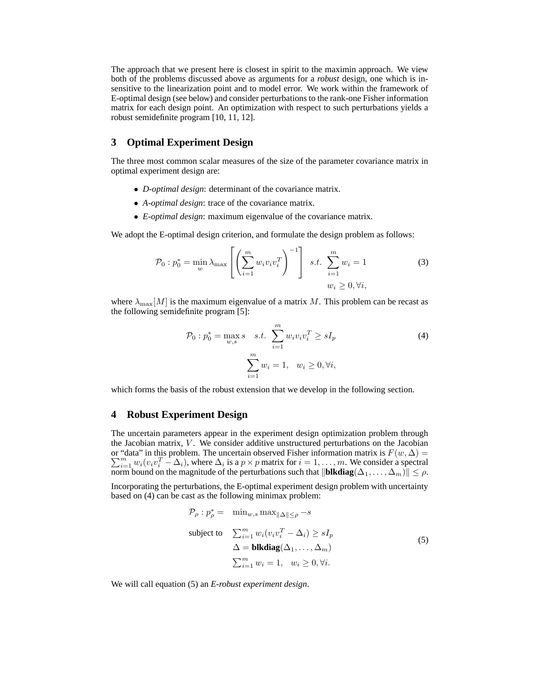The approach that we present here is closest in spirit to the maximin approach. We view both of the problems discussed above as arguments for a *robust* design, one which is insensitive to the linearization point and to model error. We work within the framework of E-optimal design (see below) and consider perturbations to the rank-one Fisher information matrix for each design point. An optimization with respect to such perturbations yields a robust semidefinite program [10, 11, 12].

# **3 Optimal Experiment Design**

The three most common scalar measures of the size of the parameter covariance matrix in optimal experiment design are:

- *D-optimal design*: determinant of the covariance matrix.
- *A-optimal design*: trace of the covariance matrix.
- *E-optimal design*: maximum eigenvalue of the covariance matrix.

We adopt the E-optimal design criterion, and formulate the design problem as follows:

$$
\mathcal{P}_0: p_0^* = \min_{w} \lambda_{\max} \left[ \left( \sum_{i=1}^m w_i v_i v_i^T \right)^{-1} \right] \quad s.t. \quad \sum_{i=1}^m w_i = 1 \tag{3}
$$

$$
w_i \ge 0, \forall i,
$$

where  $\lambda_{\text{max}}[M]$  is the maximum eigenvalue of a matrix M. This problem can be recast as the following semidefinite program [5]:

$$
\mathcal{P}_0: p_0^* = \max_{w,s} s \quad s.t. \quad \sum_{i=1}^m w_i v_i v_i^T \ge sI_p
$$
\n
$$
\sum_{i=1}^m w_i = 1, \quad w_i \ge 0, \forall i,
$$
\n(4)

which forms the basis of the robust extension that we develop in the following section.

# **4 Robust Experiment Design**

The uncertain parameters appear in the experiment design optimization problem through the Jacobian matrix,  $V$ . We consider additive unstructured perturbations on the Jacobian or "data" in this problem. The uncertain observed Fisher information matrix is  $F(w, \Delta) =$  $\sum_{i=1}^{m} w_i (v_i v_i^T - \Delta_i)$ , where  $\Delta_i$  is a  $p \times p$  matrix for  $i = 1, \ldots, m$ . We consider a spectral norm bound on the magnitude of the perturbations such that  $\|\mathbf{blkdiag}(\Delta_1, \ldots, \Delta_m)\| \leq \rho$ .

Incorporating the perturbations, the E-optimal experiment design problem with uncertainty based on (4) can be cast as the following minimax problem:

$$
\mathcal{P}_{\rho}: p_{\rho}^{*} = \min_{w,s} \max_{\|\Delta\| \leq \rho} -s
$$
\nsubject to\n
$$
\sum_{i=1}^{m} w_{i}(v_{i}v_{i}^{T} - \Delta_{i}) \geq sI_{p}
$$
\n
$$
\Delta = \textbf{blkdiag}(\Delta_{1}, \dots, \Delta_{m})
$$
\n
$$
\sum_{i=1}^{m} w_{i} = 1, \quad w_{i} \geq 0, \forall i.
$$
\n(5)

We will call equation (5) an *E-robust experiment design*.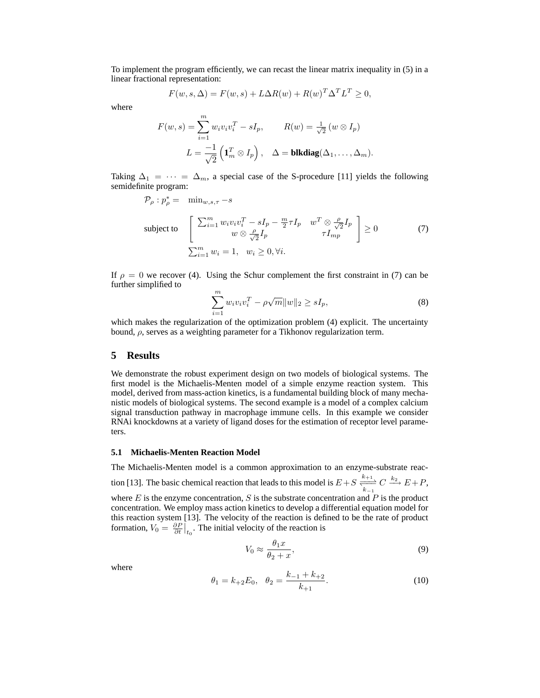To implement the program efficiently, we can recast the linear matrix inequality in (5) in a linear fractional representation:

$$
F(w, s, \Delta) = F(w, s) + L\Delta R(w) + R(w)^T \Delta^T L^T \ge 0,
$$

where

$$
F(w, s) = \sum_{i=1}^{m} w_i v_i v_i^T - sI_p, \qquad R(w) = \frac{1}{\sqrt{2}} (w \otimes I_p)
$$

$$
L = \frac{-1}{\sqrt{2}} \left( \mathbf{1}_m^T \otimes I_p \right), \quad \Delta = \mathbf{blkdiag}(\Delta_1, \dots, \Delta_m).
$$

Taking  $\Delta_1 = \cdots = \Delta_m$ , a special case of the S-procedure [11] yields the following semidefinite program:

$$
\mathcal{P}_{\rho}: p_{\rho}^{*} = \min_{w, s, \tau} -s
$$
\nsubject to\n
$$
\begin{bmatrix}\n\sum_{i=1}^{m} w_{i} v_{i} v_{i}^{T} - sI_{p} - \frac{m}{2} \tau I_{p} & w^{T} \otimes \frac{\rho}{\sqrt{2}} I_{p} \\
w \otimes \frac{\rho}{\sqrt{2}} I_{p} & \tau I_{mp}\n\end{bmatrix} \geq 0
$$
\n
$$
\sum_{i=1}^{m} w_{i} = 1, \quad w_{i} \geq 0, \forall i.
$$
\n(7)

If  $\rho = 0$  we recover (4). Using the Schur complement the first constraint in (7) can be further simplified to

$$
\sum_{i=1}^{m} w_i v_i v_i^T - \rho \sqrt{m} ||w||_2 \ge s I_p,
$$
\n(8)

which makes the regularization of the optimization problem (4) explicit. The uncertainty bound,  $\rho$ , serves as a weighting parameter for a Tikhonov regularization term.

#### **5 Results**

We demonstrate the robust experiment design on two models of biological systems. The first model is the Michaelis-Menten model of a simple enzyme reaction system. This model, derived from mass-action kinetics, is a fundamental building block of many mechanistic models of biological systems. The second example is a model of a complex calcium signal transduction pathway in macrophage immune cells. In this example we consider RNAi knockdowns at a variety of ligand doses for the estimation of receptor level parameters.

#### **5.1 Michaelis-Menten Reaction Model**

The Michaelis-Menten model is a common approximation to an enzyme-substrate reaction [13]. The basic chemical reaction that leads to this model is  $E + S \xrightarrow[k-1]{k+1} C \xrightarrow[k-1]{} E + P$ , where  $E$  is the enzyme concentration,  $S$  is the substrate concentration and  $P$  is the product concentration. We employ mass action kinetics to develop a differential equation model for this reaction system [13]. The velocity of the reaction is defined to be the rate of product formation,  $V_0 = \frac{\partial P}{\partial t}\Big|_{t_0}$ . The initial velocity of the reaction is

$$
V_0 \approx \frac{\theta_1 x}{\theta_2 + x},\tag{9}
$$

where

$$
\theta_1 = k_{+2}E_0, \quad \theta_2 = \frac{k_{-1} + k_{+2}}{k_{+1}}.\tag{10}
$$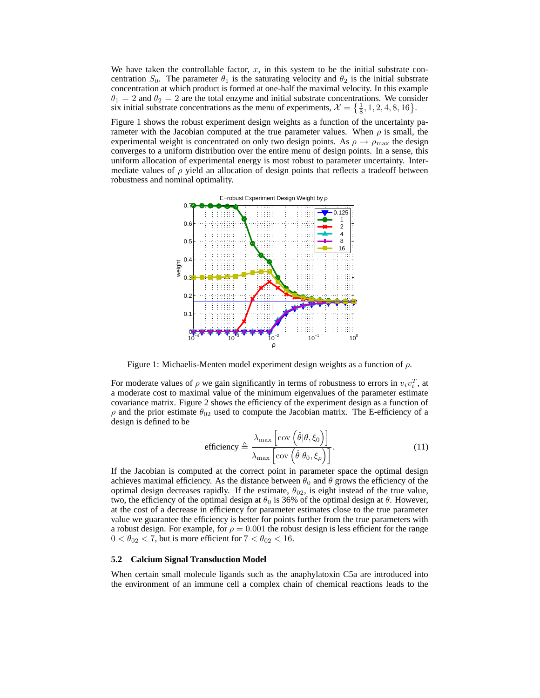We have taken the controllable factor,  $x$ , in this system to be the initial substrate concentration  $S_0$ . The parameter  $\theta_1$  is the saturating velocity and  $\theta_2$  is the initial substrate concentration at which product is formed at one-half the maximal velocity. In this example  $\theta_1 = 2$  and  $\theta_2 = 2$  are the total enzyme and initial substrate concentrations. We consider six initial substrate concentrations as the menu of experiments,  $\mathcal{X} = \left\{ \frac{1}{8}, 1, 2, 4, 8, 16 \right\}$ .

Figure 1 shows the robust experiment design weights as a function of the uncertainty parameter with the Jacobian computed at the true parameter values. When  $\rho$  is small, the experimental weight is concentrated on only two design points. As  $\rho \rightarrow \rho_{\text{max}}$  the design converges to a uniform distribution over the entire menu of design points. In a sense, this uniform allocation of experimental energy is most robust to parameter uncertainty. Intermediate values of  $\rho$  yield an allocation of design points that reflects a tradeoff between robustness and nominal optimality.



Figure 1: Michaelis-Menten model experiment design weights as a function of  $\rho$ .

For moderate values of  $\rho$  we gain significantly in terms of robustness to errors in  $v_i v_i^T$ , at a moderate cost to maximal value of the minimum eigenvalues of the parameter estimate covariance matrix. Figure 2 shows the efficiency of the experiment design as a function of  $\rho$  and the prior estimate  $\theta_{02}$  used to compute the Jacobian matrix. The E-efficiency of a design is defined to be

efficiency 
$$
\triangleq \frac{\lambda_{\text{max}} \left[ \text{cov} \left( \hat{\theta} | \theta, \xi_0 \right) \right]}{\lambda_{\text{max}} \left[ \text{cov} \left( \hat{\theta} | \theta_0, \xi_\rho \right) \right]}.
$$
 (11)

If the Jacobian is computed at the correct point in parameter space the optimal design achieves maximal efficiency. As the distance between  $\theta_0$  and  $\theta$  grows the efficiency of the optimal design decreases rapidly. If the estimate,  $\theta_{02}$ , is eight instead of the true value, two, the efficiency of the optimal design at  $\theta_0$  is 36% of the optimal design at  $\theta$ . However, at the cost of a decrease in efficiency for parameter estimates close to the true parameter value we guarantee the efficiency is better for points further from the true parameters with a robust design. For example, for  $\rho = 0.001$  the robust design is less efficient for the range  $0 < \theta_{02} < 7$ , but is more efficient for  $7 < \theta_{02} < 16$ .

#### **5.2 Calcium Signal Transduction Model**

When certain small molecule ligands such as the anaphylatoxin C5a are introduced into the environment of an immune cell a complex chain of chemical reactions leads to the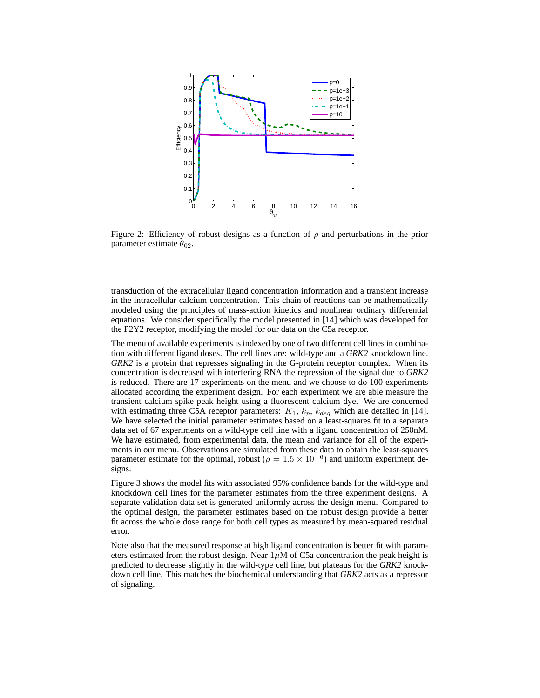

Figure 2: Efficiency of robust designs as a function of  $\rho$  and perturbations in the prior parameter estimate  $\theta_{02}$ .

transduction of the extracellular ligand concentration information and a transient increase in the intracellular calcium concentration. This chain of reactions can be mathematically modeled using the principles of mass-action kinetics and nonlinear ordinary differential equations. We consider specifically the model presented in [14] which was developed for the P2Y2 receptor, modifying the model for our data on the C5a receptor.

The menu of available experiments is indexed by one of two different cell lines in combination with different ligand doses. The cell lines are: wild-type and a *GRK2* knockdown line. *GRK2* is a protein that represses signaling in the G-protein receptor complex. When its concentration is decreased with interfering RNA the repression of the signal due to *GRK2* is reduced. There are 17 experiments on the menu and we choose to do 100 experiments allocated according the experiment design. For each experiment we are able measure the transient calcium spike peak height using a fluorescent calcium dye. We are concerned with estimating three C5A receptor parameters:  $K_1$ ,  $k_p$ ,  $k_{deg}$  which are detailed in [14]. We have selected the initial parameter estimates based on a least-squares fit to a separate data set of 67 experiments on a wild-type cell line with a ligand concentration of 250nM. We have estimated, from experimental data, the mean and variance for all of the experiments in our menu. Observations are simulated from these data to obtain the least-squares parameter estimate for the optimal, robust ( $\rho = 1.5 \times 10^{-6}$ ) and uniform experiment designs.

Figure 3 shows the model fits with associated 95% confidence bands for the wild-type and knockdown cell lines for the parameter estimates from the three experiment designs. A separate validation data set is generated uniformly across the design menu. Compared to the optimal design, the parameter estimates based on the robust design provide a better fit across the whole dose range for both cell types as measured by mean-squared residual error.

Note also that the measured response at high ligand concentration is better fit with parameters estimated from the robust design. Near  $1\mu$ M of C5a concentration the peak height is predicted to decrease slightly in the wild-type cell line, but plateaus for the *GRK2* knockdown cell line. This matches the biochemical understanding that *GRK2* acts as a repressor of signaling.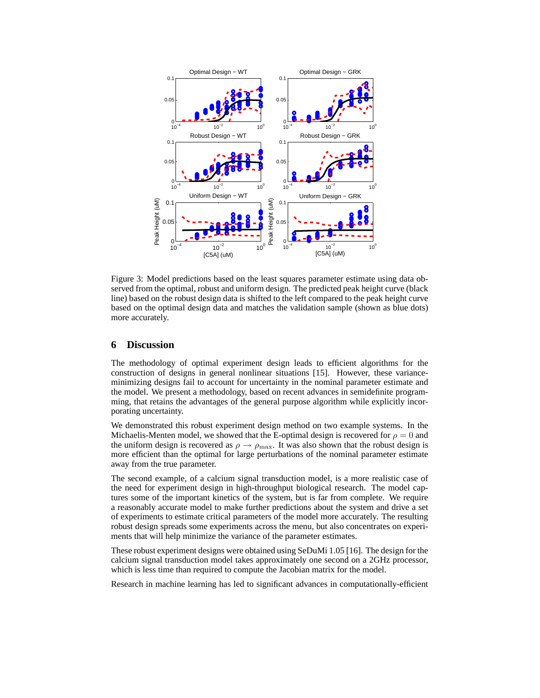

Figure 3: Model predictions based on the least squares parameter estimate using data observed from the optimal, robust and uniform design. The predicted peak height curve (black line) based on the robust design data is shifted to the left compared to the peak height curve based on the optimal design data and matches the validation sample (shown as blue dots) more accurately.

## **6 Discussion**

The methodology of optimal experiment design leads to efficient algorithms for the construction of designs in general nonlinear situations [15]. However, these varianceminimizing designs fail to account for uncertainty in the nominal parameter estimate and the model. We present a methodology, based on recent advances in semidefinite programming, that retains the advantages of the general purpose algorithm while explicitly incorporating uncertainty.

We demonstrated this robust experiment design method on two example systems. In the Michaelis-Menten model, we showed that the E-optimal design is recovered for  $\rho = 0$  and the uniform design is recovered as  $\rho \rightarrow \rho_{\text{max}}$ . It was also shown that the robust design is more efficient than the optimal for large perturbations of the nominal parameter estimate away from the true parameter.

The second example, of a calcium signal transduction model, is a more realistic case of the need for experiment design in high-throughput biological research. The model captures some of the important kinetics of the system, but is far from complete. We require a reasonably accurate model to make further predictions about the system and drive a set of experiments to estimate critical parameters of the model more accurately. The resulting robust design spreads some experiments across the menu, but also concentrates on experiments that will help minimize the variance of the parameter estimates.

These robust experiment designs were obtained using SeDuMi 1.05 [16]. The design for the calcium signal transduction model takes approximately one second on a 2GHz processor, which is less time than required to compute the Jacobian matrix for the model.

Research in machine learning has led to significant advances in computationally-efficient